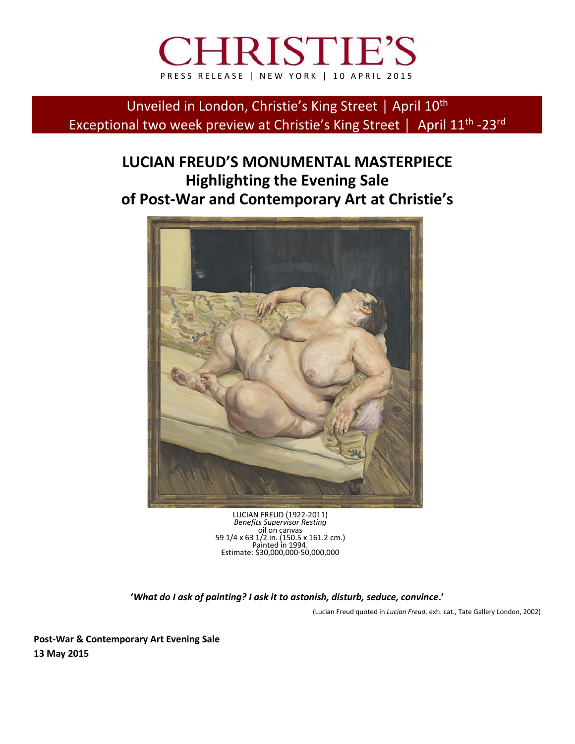# **CHRISTIE'S** PRESS RELEASE | NEW YORK | 10 APRIL 2015

Unveiled in London, Christie's King Street | April 10<sup>th</sup> Exceptional two week preview at Christie's King Street | April 11<sup>th</sup> -23<sup>rd</sup>

## **LUCIAN FREUD'S MONUMENTAL MASTERPIECE Highlighting the Evening Sale of Post-War and Contemporary Art at Christie's**



LUCIAN FREUD (1922-2011) *Benefits Supervisor Resting* oil on canvas 59 1/4 x 63 1/2 in. (150.5 x 161.2 cm.) Painted in 1994. Estimate: \$30,000,000-50,000,000

**'***What do I ask of painting? I ask it to astonish, disturb, seduce, convince***.'**

(Lucian Freud quoted in *Lucian Freud*, exh. cat., Tate Gallery London, 2002)

**Post-War & Contemporary Art Evening Sale 13 May 2015**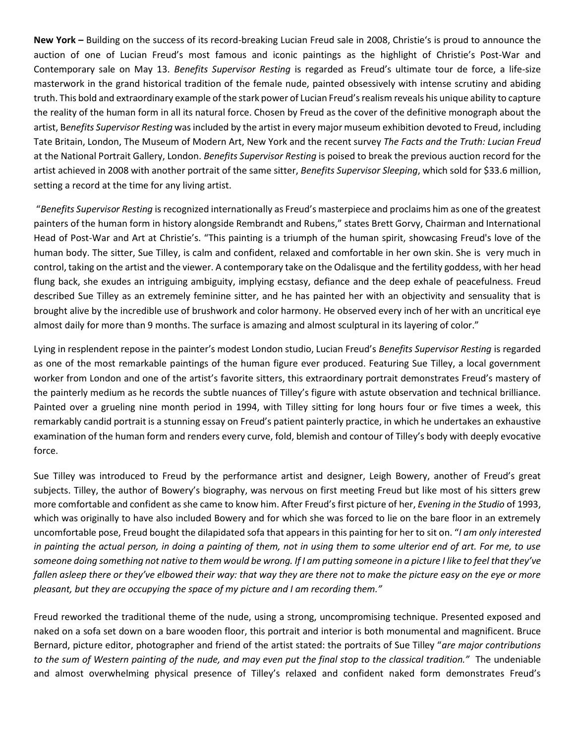**New York –** Building on the success of its record-breaking Lucian Freud sale in 2008, Christie's is proud to announce the auction of one of Lucian Freud's most famous and iconic paintings as the highlight of Christie's Post-War and Contemporary sale on May 13. *Benefits Supervisor Resting* is regarded as Freud's ultimate tour de force, a life-size masterwork in the grand historical tradition of the female nude, painted obsessively with intense scrutiny and abiding truth. This bold and extraordinary example of the stark power of Lucian Freud's realism reveals his unique ability to capture the reality of the human form in all its natural force. Chosen by Freud as the cover of the definitive monograph about the artist, B*enefits Supervisor Resting* was included by the artist in every major museum exhibition devoted to Freud, including Tate Britain, London, The Museum of Modern Art, New York and the recent survey *The Facts and the Truth: Lucian Freud*  at the National Portrait Gallery, London. *Benefits Supervisor Resting* is poised to break the previous auction record for the artist achieved in 2008 with another portrait of the same sitter, *Benefits Supervisor Sleeping*, which sold for \$33.6 million, setting a record at the time for any living artist.

"*Benefits Supervisor Resting* is recognized internationally as Freud's masterpiece and proclaims him as one of the greatest painters of the human form in history alongside Rembrandt and Rubens," states Brett Gorvy, Chairman and International Head of Post-War and Art at Christie's. "This painting is a triumph of the human spirit, showcasing Freud's love of the human body. The sitter, Sue Tilley, is calm and confident, relaxed and comfortable in her own skin. She is very much in control, taking on the artist and the viewer. A contemporary take on the Odalisque and the fertility goddess, with her head flung back, she exudes an intriguing ambiguity, implying ecstasy, defiance and the deep exhale of peacefulness. Freud described Sue Tilley as an extremely feminine sitter, and he has painted her with an objectivity and sensuality that is brought alive by the incredible use of brushwork and color harmony. He observed every inch of her with an uncritical eye almost daily for more than 9 months. The surface is amazing and almost sculptural in its layering of color."

Lying in resplendent repose in the painter's modest London studio, Lucian Freud's *Benefits Supervisor Resting* is regarded as one of the most remarkable paintings of the human figure ever produced. Featuring Sue Tilley, a local government worker from London and one of the artist's favorite sitters, this extraordinary portrait demonstrates Freud's mastery of the painterly medium as he records the subtle nuances of Tilley's figure with astute observation and technical brilliance. Painted over a grueling nine month period in 1994, with Tilley sitting for long hours four or five times a week, this remarkably candid portrait is a stunning essay on Freud's patient painterly practice, in which he undertakes an exhaustive examination of the human form and renders every curve, fold, blemish and contour of Tilley's body with deeply evocative force.

Sue Tilley was introduced to Freud by the performance artist and designer, Leigh Bowery, another of Freud's great subjects. Tilley, the author of Bowery's biography, was nervous on first meeting Freud but like most of his sitters grew more comfortable and confident as she came to know him. After Freud's first picture of her, *Evening in the Studio* of 1993, which was originally to have also included Bowery and for which she was forced to lie on the bare floor in an extremely uncomfortable pose, Freud bought the dilapidated sofa that appears in this painting for her to sit on. "*I am only interested in painting the actual person, in doing a painting of them, not in using them to some ulterior end of art. For me, to use someone doing something not native to them would be wrong. If I am putting someone in a picture I like to feel that they've fallen asleep there or they've elbowed their way: that way they are there not to make the picture easy on the eye or more pleasant, but they are occupying the space of my picture and I am recording them."*

Freud reworked the traditional theme of the nude, using a strong, uncompromising technique. Presented exposed and naked on a sofa set down on a bare wooden floor, this portrait and interior is both monumental and magnificent. Bruce Bernard, picture editor, photographer and friend of the artist stated: the portraits of Sue Tilley "*are major contributions to the sum of Western painting of the nude, and may even put the final stop to the classical tradition."* The undeniable and almost overwhelming physical presence of Tilley's relaxed and confident naked form demonstrates Freud's